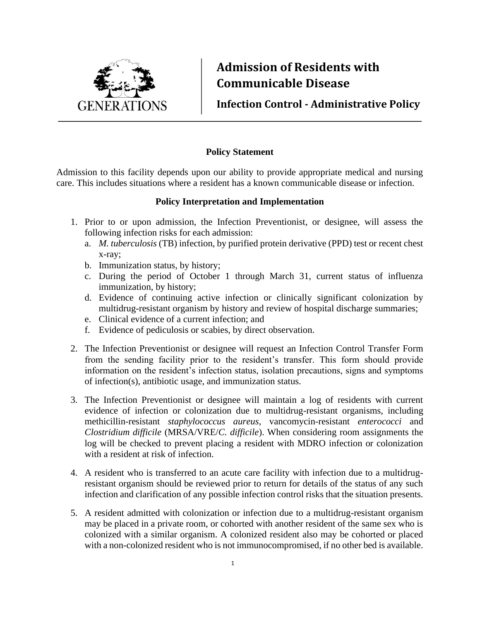

## **Admission of Residents with Communicable Disease**

**Infection Control - Administrative Policy**

## **Policy Statement**

Admission to this facility depends upon our ability to provide appropriate medical and nursing care. This includes situations where a resident has a known communicable disease or infection.

## **Policy Interpretation and Implementation**

- 1. Prior to or upon admission, the Infection Preventionist, or designee, will assess the following infection risks for each admission:
	- a. *M. tuberculosis* (TB) infection, by purified protein derivative (PPD) test or recent chest x-ray;
	- b. Immunization status, by history;
	- c. During the period of October 1 through March 31, current status of influenza immunization, by history;
	- d. Evidence of continuing active infection or clinically significant colonization by multidrug-resistant organism by history and review of hospital discharge summaries;
	- e. Clinical evidence of a current infection; and
	- f. Evidence of pediculosis or scabies, by direct observation.
- 2. The Infection Preventionist or designee will request an Infection Control Transfer Form from the sending facility prior to the resident's transfer. This form should provide information on the resident's infection status, isolation precautions, signs and symptoms of infection(s), antibiotic usage, and immunization status.
- 3. The Infection Preventionist or designee will maintain a log of residents with current evidence of infection or colonization due to multidrug-resistant organisms, including methicillin-resistant *staphylococcus aureus*, vancomycin-resistant *enterococci* and *Clostridium difficile* (MRSA/VRE/*C. difficile*). When considering room assignments the log will be checked to prevent placing a resident with MDRO infection or colonization with a resident at risk of infection.
- 4. A resident who is transferred to an acute care facility with infection due to a multidrugresistant organism should be reviewed prior to return for details of the status of any such infection and clarification of any possible infection control risks that the situation presents.
- 5. A resident admitted with colonization or infection due to a multidrug-resistant organism may be placed in a private room, or cohorted with another resident of the same sex who is colonized with a similar organism. A colonized resident also may be cohorted or placed with a non-colonized resident who is not immunocompromised, if no other bed is available.